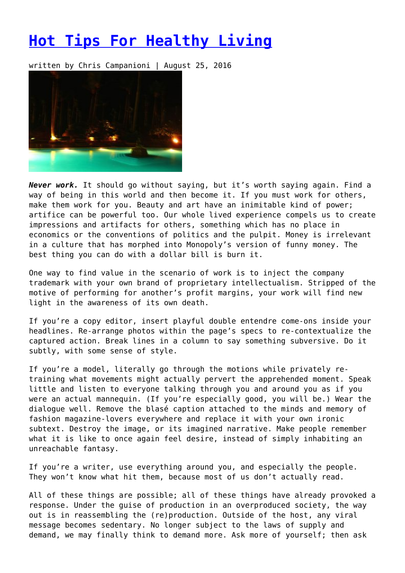# **[Hot Tips For Healthy Living](https://entropymag.org/hot-tips-for-healthy-living/)**

written by Chris Campanioni | August 25, 2016



*Never work.* It should go without saying, but it's worth saying again. Find a way of being in this world and then become it. If you must work for others, make them work for you. Beauty and art have an inimitable kind of power; artifice can be powerful too. Our whole lived experience compels us to create impressions and artifacts for others, something which has no place in economics or the conventions of politics and the pulpit. Money is irrelevant in a culture that has morphed into Monopoly's version of funny money. The best thing you can do with a dollar bill is burn it.

One way to find value in the scenario of work is to inject the company trademark with your own brand of proprietary intellectualism. Stripped of the motive of performing for another's profit margins, your work will find new light in the awareness of its own death.

If you're a copy editor, insert playful double entendre come-ons inside your headlines. Re-arrange photos within the page's specs to re-contextualize the captured action. Break lines in a column to say something subversive. Do it subtly, with some sense of style.

If you're a model, literally go through the motions while privately retraining what movements might actually pervert the apprehended moment. Speak little and listen to everyone talking through you and around you as if you were an actual mannequin. (If you're especially good, you will be.) Wear the dialogue well. Remove the blasé caption attached to the minds and memory of fashion magazine-lovers everywhere and replace it with your own ironic subtext. Destroy the image, or its imagined narrative. Make people remember what it is like to once again feel desire, instead of simply inhabiting an unreachable fantasy.

If you're a writer, use everything around you, and especially the people. They won't know what hit them, because most of us don't actually read.

All of these things are possible; all of these things have already provoked a response. Under the guise of production in an overproduced society, the way out is in reassembling the (re)production. Outside of the host, any viral message becomes sedentary. No longer subject to the laws of supply and demand, we may finally think to demand more. Ask more of yourself; then ask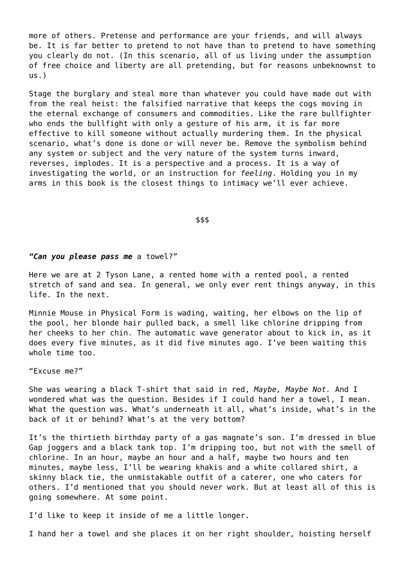more of others. Pretense and performance are your friends, and will always be. It is far better to pretend to not have than to pretend to have something you clearly do not. (In this scenario, all of us living under the assumption of free choice and liberty are all pretending, but for reasons unbeknownst to  $us.$ )

Stage the burglary and steal more than whatever you could have made out with from the real heist: the falsified narrative that keeps the cogs moving in the eternal exchange of consumers and commodities. Like the rare bullfighter who ends the bullfight with only a gesture of his arm, it is far more effective to kill someone without actually murdering them. In the physical scenario, what's done is done or will never be. Remove the symbolism behind any system or subject and the very nature of the system turns inward, reverses, implodes. It is a perspective and a process. It is a way of investigating the world, or an instruction for *feeling*. Holding you in my arms in this book is the closest things to intimacy we'll ever achieve.

\$\$\$

## *"Can you please pass me* a towel?"

Here we are at 2 Tyson Lane, a rented home with a rented pool, a rented stretch of sand and sea. In general, we only ever rent things anyway, in this life. In the next.

Minnie Mouse in Physical Form is wading, waiting, her elbows on the lip of the pool, her blonde hair pulled back, a smell like chlorine dripping from her cheeks to her chin. The automatic wave generator about to kick in, as it does every five minutes, as it did five minutes ago. I've been waiting this whole time too.

## "Excuse me?"

She was wearing a black T-shirt that said in red, *Maybe, Maybe Not.* And I wondered what was the question. Besides if I could hand her a towel, I mean. What the question was. What's underneath it all, what's inside, what's in the back of it or behind? What's at the very bottom?

It's the thirtieth birthday party of a gas magnate's son. I'm dressed in blue Gap joggers and a black tank top. I'm dripping too, but not with the smell of chlorine. In an hour, maybe an hour and a half, maybe two hours and ten minutes, maybe less, I'll be wearing khakis and a white collared shirt, a skinny black tie, the unmistakable outfit of a caterer, one who caters for others. I'd mentioned that you should never work. But at least all of this is going somewhere. At some point.

I'd like to keep it inside of me a little longer.

I hand her a towel and she places it on her right shoulder, hoisting herself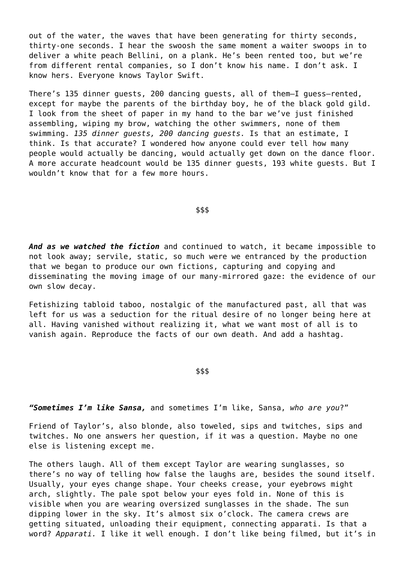out of the water, the waves that have been generating for thirty seconds, thirty-one seconds. I hear the swoosh the same moment a waiter swoops in to deliver a white peach Bellini, on a plank. He's been rented too, but we're from different rental companies, so I don't know his name. I don't ask. I know hers. Everyone knows Taylor Swift.

There's 135 dinner guests, 200 dancing guests, all of them—I guess—rented, except for maybe the parents of the birthday boy, he of the black gold gild. I look from the sheet of paper in my hand to the bar we've just finished assembling, wiping my brow, watching the other swimmers, none of them swimming. *135 dinner guests, 200 dancing guests.* Is that an estimate, I think. Is that accurate? I wondered how anyone could ever tell how many people would actually be dancing, would actually get down on the dance floor. A more accurate headcount would be 135 dinner guests, 193 white guests. But I wouldn't know that for a few more hours.

\$\$\$

*And as we watched the fiction* and continued to watch, it became impossible to not look away; servile, static, so much were we entranced by the production that we began to produce our own fictions, capturing and copying and disseminating the moving image of our many-mirrored gaze: the evidence of our own slow decay.

Fetishizing tabloid taboo, nostalgic of the manufactured past, all that was left for us was a seduction for the ritual desire of no longer being here at all. Having vanished without realizing it, what we want most of all is to vanish again. Reproduce the facts of our own death. And add a hashtag.

\$\$\$

*"Sometimes I'm like Sansa,* and sometimes I'm like, Sansa, *who are you*?"

Friend of Taylor's, also blonde, also toweled, sips and twitches, sips and twitches. No one answers her question, if it was a question. Maybe no one else is listening except me.

The others laugh. All of them except Taylor are wearing sunglasses, so there's no way of telling how false the laughs are, besides the sound itself. Usually, your eyes change shape. Your cheeks crease, your eyebrows might arch, slightly. The pale spot below your eyes fold in. None of this is visible when you are wearing oversized sunglasses in the shade. The sun dipping lower in the sky. It's almost six o'clock. The camera crews are getting situated, unloading their equipment, connecting apparati. Is that a word? *Apparati.* I like it well enough. I don't like being filmed, but it's in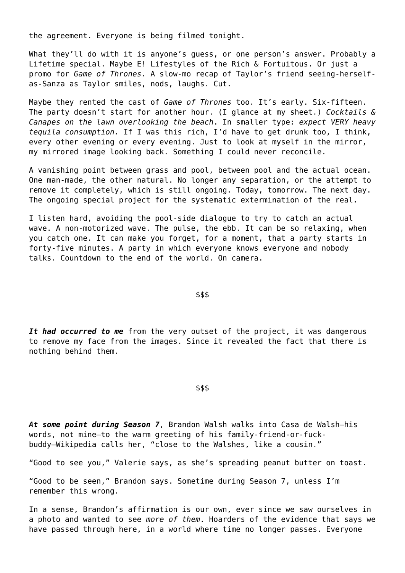the agreement. Everyone is being filmed tonight.

What they'll do with it is anyone's guess, or one person's answer. Probably a Lifetime special. Maybe E! Lifestyles of the Rich & Fortuitous. Or just a promo for *Game of Thrones*. A slow-mo recap of Taylor's friend seeing-herselfas-Sanza as Taylor smiles, nods, laughs. Cut.

Maybe they rented the cast of *Game of Thrones* too. It's early. Six-fifteen. The party doesn't start for another hour. (I glance at my sheet.) *Cocktails & Canapes on the lawn overlooking the beach*. In smaller type: *expect VERY heavy tequila consumption.* If I was this rich, I'd have to get drunk too, I think, every other evening or every evening. Just to look at myself in the mirror, my mirrored image looking back. Something I could never reconcile.

A vanishing point between grass and pool, between pool and the actual ocean. One man-made, the other natural. No longer any separation, or the attempt to remove it completely, which is still ongoing. Today, tomorrow. The next day. The ongoing special project for the systematic extermination of the real.

I listen hard, avoiding the pool-side dialogue to try to catch an actual wave. A non-motorized wave. The pulse, the ebb. It can be so relaxing, when you catch one. It can make you forget, for a moment, that a party starts in forty-five minutes. A party in which everyone knows everyone and nobody talks. Countdown to the end of the world. On camera.

\$\$\$

*It had occurred to me* from the very outset of the project, it was dangerous to remove my face from the images. Since it revealed the fact that there is nothing behind them.

#### \$\$\$

*At some point during Season 7*, Brandon Walsh walks into Casa de Walsh—his words, not mine—to the warm greeting of his family-friend-or-fuckbuddy—Wikipedia calls her, "close to the Walshes, like a cousin."

"Good to see you," Valerie says, as she's spreading peanut butter on toast.

"Good to be seen," Brandon says. Sometime during Season 7, unless I'm remember this wrong.

In a sense, Brandon's affirmation is our own, ever since we saw ourselves in a photo and wanted to see *more of them*. Hoarders of the evidence that says we have passed through here, in a world where time no longer passes. Everyone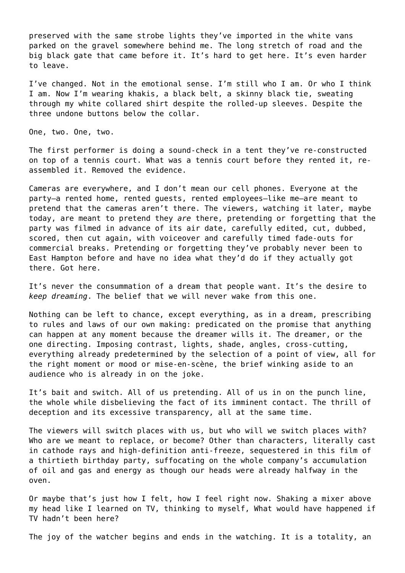preserved with the same strobe lights they've imported in the white vans parked on the gravel somewhere behind me. The long stretch of road and the big black gate that came before it. It's hard to get here. It's even harder to leave.

I've changed. Not in the emotional sense. I'm still who I am. Or who I think I am. Now I'm wearing khakis, a black belt, a skinny black tie, sweating through my white collared shirt despite the rolled-up sleeves. Despite the three undone buttons below the collar.

One, two. One, two.

The first performer is doing a sound-check in a tent they've re-constructed on top of a tennis court. What was a tennis court before they rented it, reassembled it. Removed the evidence.

Cameras are everywhere, and I don't mean our cell phones. Everyone at the party—a rented home, rented guests, rented employees—like me—are meant to pretend that the cameras aren't there. The viewers, watching it later, maybe today, are meant to pretend they *are* there, pretending or forgetting that the party was filmed in advance of its air date, carefully edited, cut, dubbed, scored, then cut again, with voiceover and carefully timed fade-outs for commercial breaks. Pretending or forgetting they've probably never been to East Hampton before and have no idea what they'd do if they actually got there. Got here.

It's never the consummation of a dream that people want. It's the desire to *keep dreaming*. The belief that we will never wake from this one.

Nothing can be left to chance, except everything, as in a dream, prescribing to rules and laws of our own making: predicated on the promise that anything can happen at any moment because the dreamer wills it. The dreamer, or the one directing. Imposing contrast, lights, shade, angles, cross-cutting, everything already predetermined by the selection of a point of view, all for the right moment or mood or mise-en-scène, the brief winking aside to an audience who is already in on the joke.

It's bait and switch. All of us pretending. All of us in on the punch line, the whole while disbelieving the fact of its imminent contact. The thrill of deception and its excessive transparency, all at the same time.

The viewers will switch places with us, but who will we switch places with? Who are we meant to replace, or become? Other than characters, literally cast in cathode rays and high-definition anti-freeze, sequestered in this film of a thirtieth birthday party, suffocating on the whole company's accumulation of oil and gas and energy as though our heads were already halfway in the oven.

Or maybe that's just how I felt, how I feel right now. Shaking a mixer above my head like I learned on TV, thinking to myself, What would have happened if TV hadn't been here?

The joy of the watcher begins and ends in the watching. It is a totality, an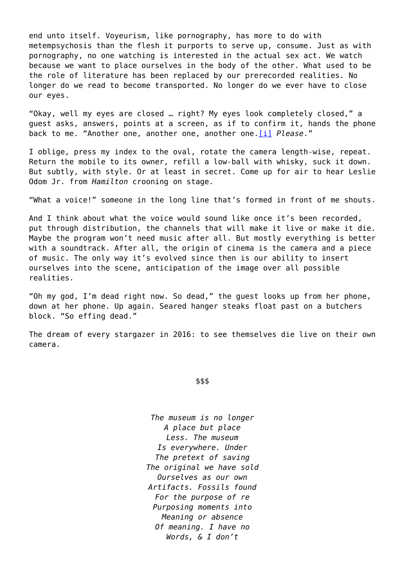end unto itself. Voyeurism, like pornography, has more to do with metempsychosis than the flesh it purports to serve up, consume. Just as with pornography, no one watching is interested in the actual sex act. We watch because we want to place ourselves in the body of the other. What used to be the role of literature has been replaced by our prerecorded realities. No longer do we read to become transported. No longer do we ever have to close our eyes.

<span id="page-5-0"></span>"Okay, well my eyes are closed … right? My eyes look completely closed," a guest asks, answers, points at a screen, as if to confirm it, hands the phone back to me. "Another one, another one, another one[.\[i\]](#page-10-0) *Please*."

I oblige, press my index to the oval, rotate the camera length-wise, repeat. Return the mobile to its owner, refill a low-ball with whisky, suck it down. But subtly, with style. Or at least in secret. Come up for air to hear Leslie Odom Jr. from *Hamilton* crooning on stage.

"What a voice!" someone in the long line that's formed in front of me shouts.

And I think about what the voice would sound like once it's been recorded, put through distribution, the channels that will make it live or make it die. Maybe the program won't need music after all. But mostly everything is better with a soundtrack. After all, the origin of cinema is the camera and a piece of music. The only way it's evolved since then is our ability to insert ourselves into the scene, anticipation of the image over all possible realities.

"Oh my god, I'm dead right now. So dead," the guest looks up from her phone, down at her phone. Up again. Seared hanger steaks float past on a butchers block. "So effing dead."

The dream of every stargazer in 2016: to see themselves die live on their own camera.

\$\$\$

*The museum is no longer A place but place Less. The museum Is everywhere. Under The pretext of saving The original we have sold Ourselves as our own Artifacts. Fossils found For the purpose of re Purposing moments into Meaning or absence Of meaning. I have no Words, & I don't*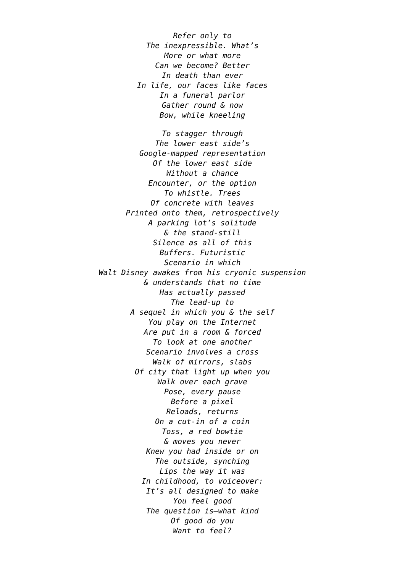*Refer only to The inexpressible. What's More or what more Can we become? Better In death than ever In life, our faces like faces In a funeral parlor Gather round & now Bow, while kneeling To stagger through The lower east side's Google-mapped representation Of the lower east side Without a chance Encounter, or the option To whistle. Trees Of concrete with leaves Printed onto them, retrospectively A parking lot's solitude & the stand-still Silence as all of this Buffers. Futuristic Scenario in which Walt Disney awakes from his cryonic suspension & understands that no time Has actually passed The lead-up to A sequel in which you & the self You play on the Internet Are put in a room & forced To look at one another Scenario involves a cross Walk of mirrors, slabs Of city that light up when you Walk over each grave Pose, every pause Before a pixel Reloads, returns On a cut-in of a coin Toss, a red bowtie & moves you never Knew you had inside or on The outside, synching Lips the way it was In childhood, to voiceover: It's all designed to make You feel good The question is—what kind Of good do you Want to feel?*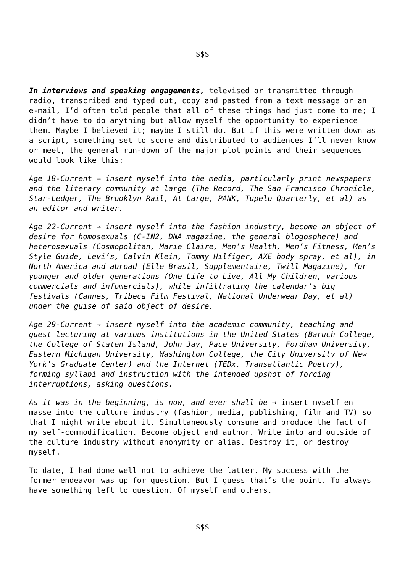*In interviews and speaking engagements,* televised or transmitted through radio, transcribed and typed out, copy and pasted from a text message or an e-mail, I'd often told people that all of these things had just come to me; I didn't have to do anything but allow myself the opportunity to experience them. Maybe I believed it; maybe I still do. But if this were written down as a script, something set to score and distributed to audiences I'll never know or meet, the general run-down of the major plot points and their sequences would look like this:

*Age 18-Current → insert myself into the media, particularly print newspapers and the literary community at large (The Record, The San Francisco Chronicle, Star-Ledger, The Brooklyn Rail, At Large, PANK, Tupelo Quarterly, et al) as an editor and writer.*

*Age 22-Current → insert myself into the fashion industry, become an object of desire for homosexuals (C-IN2, DNA magazine, the general blogosphere) and heterosexuals (Cosmopolitan, Marie Claire, Men's Health, Men's Fitness, Men's Style Guide, Levi's, Calvin Klein, Tommy Hilfiger, AXE body spray, et al), in North America and abroad (Elle Brasil, Supplementaire, Twill Magazine), for younger and older generations (One Life to Live, All My Children, various commercials and infomercials), while infiltrating the calendar's big festivals (Cannes, Tribeca Film Festival, National Underwear Day, et al) under the guise of said object of desire.*

*Age 29-Current → insert myself into the academic community, teaching and guest lecturing at various institutions in the United States (Baruch College, the College of Staten Island, John Jay, Pace University, Fordham University, Eastern Michigan University, Washington College, the City University of New York's Graduate Center) and the Internet (TEDx, Transatlantic Poetry), forming syllabi and instruction with the intended upshot of forcing interruptions, asking questions.*

*As it was in the beginning, is now, and ever shall be* → insert myself en masse into the culture industry (fashion, media, publishing, film and TV) so that I might write about it. Simultaneously consume and produce the fact of my self-commodification. Become object and author. Write into and outside of the culture industry without anonymity or alias. Destroy it, or destroy myself.

To date, I had done well not to achieve the latter. My success with the former endeavor was up for question. But I guess that's the point. To always have something left to question. Of myself and others.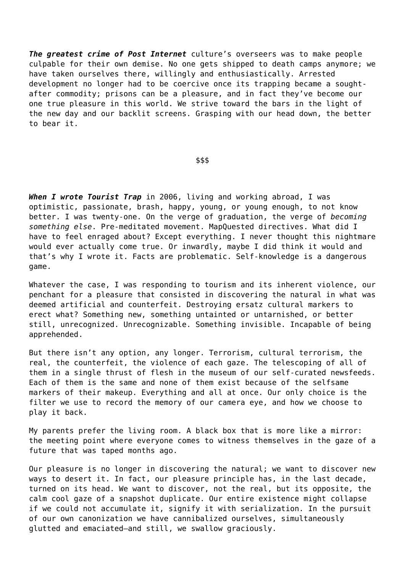*The greatest crime of Post Internet* culture's overseers was to make people culpable for their own demise. No one gets shipped to death camps anymore; we have taken ourselves there, willingly and enthusiastically. Arrested development no longer had to be coercive once its trapping became a soughtafter commodity; prisons can be a pleasure, and in fact they've become our one true pleasure in this world. We strive toward the bars in the light of the new day and our backlit screens. Grasping with our head down, the better to bear it.

\$\$\$

*When I wrote Tourist Trap* in 2006, living and working abroad, I was optimistic, passionate, brash, happy, young, or young enough, to not know better. I was twenty-one. On the verge of graduation, the verge of *becoming something else*. Pre-meditated movement. MapQuested directives. What did I have to feel enraged about? Except everything. I never thought this nightmare would ever actually come true. Or inwardly, maybe I did think it would and that's why I wrote it. Facts are problematic. Self-knowledge is a dangerous game.

Whatever the case, I was responding to tourism and its inherent violence, our penchant for a pleasure that consisted in discovering the natural in what was deemed artificial and counterfeit. Destroying ersatz cultural markers to erect what? Something new, something untainted or untarnished, or better still, unrecognized. Unrecognizable. Something invisible. Incapable of being apprehended.

But there isn't any option, any longer. Terrorism, cultural terrorism, the real, the counterfeit, the violence of each gaze. The telescoping of all of them in a single thrust of flesh in the museum of our self-curated newsfeeds. Each of them is the same and none of them exist because of the selfsame markers of their makeup. Everything and all at once. Our only choice is the filter we use to record the memory of our camera eye, and how we choose to play it back.

My parents prefer the living room. A black box that is more like a mirror: the meeting point where everyone comes to witness themselves in the gaze of a future that was taped months ago.

Our pleasure is no longer in discovering the natural; we want to discover new ways to desert it. In fact, our pleasure principle has, in the last decade, turned on its head. We want to discover, not the real, but its opposite, the calm cool gaze of a snapshot duplicate. Our entire existence might collapse if we could not accumulate it, signify it with serialization. In the pursuit of our own canonization we have cannibalized ourselves, simultaneously glutted and emaciated—and still, we swallow graciously.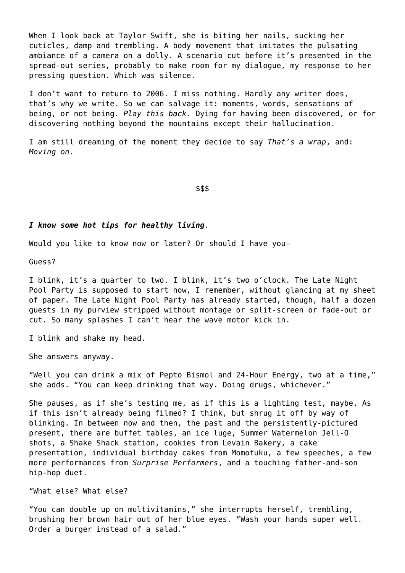When I look back at Taylor Swift, she is biting her nails, sucking her cuticles, damp and trembling. A body movement that imitates the pulsating ambiance of a camera on a dolly. A scenario cut before it's presented in the spread-out series, probably to make room for my dialogue, my response to her pressing question. Which was silence.

I don't want to return to 2006. I miss nothing. Hardly any writer does, that's why we write. So we can salvage it: moments, words, sensations of being, or not being. *Play this back.* Dying for having been discovered, or for discovering nothing beyond the mountains except their hallucination.

I am still dreaming of the moment they decide to say *That's a wrap*, and: *Moving on*.

\$\$\$

#### *I know some hot tips for healthy living*.

Would you like to know now or later? Or should I have you—

Guess?

I blink, it's a quarter to two. I blink, it's two o'clock. The Late Night Pool Party is supposed to start now, I remember, without glancing at my sheet of paper. The Late Night Pool Party has already started, though, half a dozen guests in my purview stripped without montage or split-screen or fade-out or cut. So many splashes I can't hear the wave motor kick in.

I blink and shake my head.

She answers anyway.

"Well you can drink a mix of Pepto Bismol and 24-Hour Energy, two at a time," she adds. "You can keep drinking that way. Doing drugs, whichever."

She pauses, as if she's testing me, as if this is a lighting test, maybe. As if this isn't already being filmed? I think, but shrug it off by way of blinking. In between now and then, the past and the persistently-pictured present, there are buffet tables, an ice luge, Summer Watermelon Jell-O shots, a Shake Shack station, cookies from Levain Bakery, a cake presentation, individual birthday cakes from Momofuku, a few speeches, a few more performances from *Surprise Performers*, and a touching father-and-son hip-hop duet.

"What else? What else?

"You can double up on multivitamins," she interrupts herself, trembling, brushing her brown hair out of her blue eyes. "Wash your hands super well. Order a burger instead of a salad."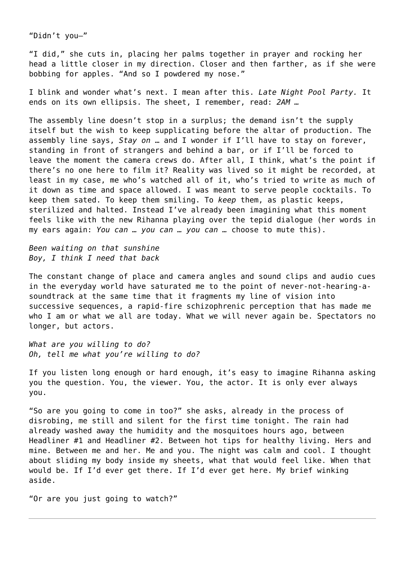"Didn't you—"

"I did," she cuts in, placing her palms together in prayer and rocking her head a little closer in my direction. Closer and then farther, as if she were bobbing for apples. "And so I powdered my nose."

I blink and wonder what's next. I mean after this. *Late Night Pool Party.* It ends on its own ellipsis. The sheet, I remember, read: *2AM …*

The assembly line doesn't stop in a surplus; the demand isn't the supply itself but the wish to keep supplicating before the altar of production. The assembly line says, *Stay on* … and I wonder if I'll have to stay on forever, standing in front of strangers and behind a bar, or if I'll be forced to leave the moment the camera crews do. After all, I think, what's the point if there's no one here to film it? Reality was lived so it might be recorded, at least in my case, me who's watched all of it, who's tried to write as much of it down as time and space allowed. I was meant to serve people cocktails. To keep them sated. To keep them smiling. To *keep* them, as plastic keeps, sterilized and halted. Instead I've already been imagining what this moment feels like with the new Rihanna playing over the tepid dialogue (her words in my ears again: *You can … you can … you can …* choose to mute this).

*Been waiting on that sunshine Boy, I think I need that back*

The constant change of place and camera angles and sound clips and audio cues in the everyday world have saturated me to the point of never-not-hearing-asoundtrack at the same time that it fragments my line of vision into successive sequences, a rapid-fire schizophrenic perception that has made me who I am or what we all are today. What we will never again be. Spectators no longer, but actors.

*What are you willing to do? Oh, tell me what you're willing to do?*

If you listen long enough or hard enough, it's easy to imagine Rihanna asking you the question. You, the viewer. You, the actor. It is only ever always you.

"So are you going to come in too?" she asks, already in the process of disrobing, me still and silent for the first time tonight. The rain had already washed away the humidity and the mosquitoes hours ago, between Headliner #1 and Headliner #2. Between hot tips for healthy living. Hers and mine. Between me and her. Me and you. The night was calm and cool. I thought about sliding my body inside my sheets, what that would feel like. When that would be. If I'd ever get there. If I'd ever get here. My brief winking aside.

<span id="page-10-0"></span>"Or are you just going to watch?"